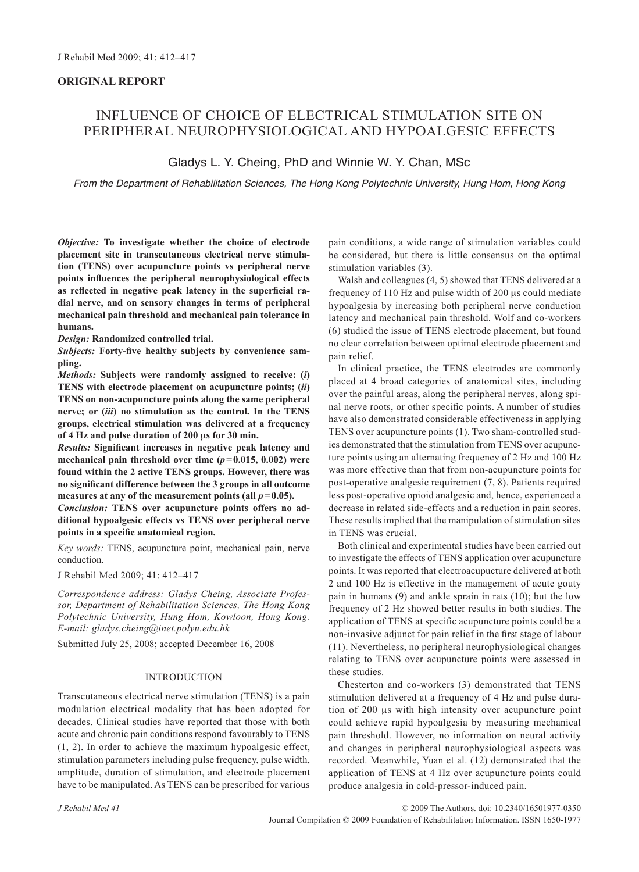# **ORIGINAL REPORT**

# INFLUENCE OF CHOICE OF ELECTRICAL STIMULATION SITE ON PERIPHERAL NEUROPHYSIOLOGICAL AND HYPOALGESIC EFFECTS

# Gladys L. Y. Cheing, PhD and Winnie W. Y. Chan, MSc

*From the Department of Rehabilitation Sciences, The Hong Kong Polytechnic University, Hung Hom, Hong Kong*

*Objective:* **To investigate whether the choice of electrode placement site in transcutaneous electrical nerve stimulation (TENS) over acupuncture points vs peripheral nerve points influences the peripheral neurophysiological effects as reflected in negative peak latency in the superficial radial nerve, and on sensory changes in terms of peripheral mechanical pain threshold and mechanical pain tolerance in humans.**

*Design:* **Randomized controlled trial.**

*Subjects:* **Forty-five healthy subjects by convenience sampling.**

*Methods:* **Subjects were randomly assigned to receive: (***i***) TENS with electrode placement on acupuncture points; (***ii***) TENS on non-acupuncture points along the same peripheral nerve; or (***iii***) no stimulation as the control. In the TENS groups, electrical stimulation was delivered at a frequency of 4 Hz and pulse duration of 200** μ**s for 30 min.**

*Results:* **Significant increases in negative peak latency and**  mechanical pain threshold over time  $(p=0.015, 0.002)$  were **found within the 2 active TENS groups. However, there was no significant difference between the 3 groups in all outcome**  measures at any of the measurement points (all  $p=0.05$ ).

*Conclusion:* **TENS over acupuncture points offers no additional hypoalgesic effects vs TENS over peripheral nerve points in a specific anatomical region.**

*Key words:* TENS, acupuncture point, mechanical pain, nerve conduction.

J Rehabil Med 2009; 41: 412–417

*Correspondence address: Gladys Cheing, Associate Professor, Department of Rehabilitation Sciences, The Hong Kong Polytechnic University, Hung Hom, Kowloon, Hong Kong. E-mail: gladys.cheing@inet.polyu.edu.hk*

Submitted July 25, 2008; accepted December 16, 2008

#### INTRODUCTION

Transcutaneous electrical nerve stimulation (TENS) is a pain modulation electrical modality that has been adopted for decades. Clinical studies have reported that those with both acute and chronic pain conditions respond favourably to TENS (1, 2). In order to achieve the maximum hypoalgesic effect, stimulation parameters including pulse frequency, pulse width, amplitude, duration of stimulation, and electrode placement have to be manipulated. As TENS can be prescribed for various pain conditions, a wide range of stimulation variables could be considered, but there is little consensus on the optimal stimulation variables (3).

Walsh and colleagues (4, 5) showed that TENS delivered at a frequency of 110 Hz and pulse width of 200 μs could mediate hypoalgesia by increasing both peripheral nerve conduction latency and mechanical pain threshold. Wolf and co-workers (6) studied the issue of TENS electrode placement, but found no clear correlation between optimal electrode placement and pain relief.

In clinical practice, the TENS electrodes are commonly placed at 4 broad categories of anatomical sites, including over the painful areas, along the peripheral nerves, along spinal nerve roots, or other specific points. A number of studies have also demonstrated considerable effectiveness in applying TENS over acupuncture points (1). Two sham-controlled studies demonstrated that the stimulation from TENS over acupuncture points using an alternating frequency of 2 Hz and 100 Hz was more effective than that from non-acupuncture points for post-operative analgesic requirement (7, 8). Patients required less post-operative opioid analgesic and, hence, experienced a decrease in related side-effects and a reduction in pain scores. These results implied that the manipulation of stimulation sites in TENS was crucial.

Both clinical and experimental studies have been carried out to investigate the effects of TENS application over acupuncture points. It was reported that electroacupucture delivered at both 2 and 100 Hz is effective in the management of acute gouty pain in humans (9) and ankle sprain in rats (10); but the low frequency of 2 Hz showed better results in both studies. The application of TENS at specific acupuncture points could be a non-invasive adjunct for pain relief in the first stage of labour (11). Nevertheless, no peripheral neurophysiological changes relating to TENS over acupuncture points were assessed in these studies.

Chesterton and co-workers (3) demonstrated that TENS stimulation delivered at a frequency of 4 Hz and pulse duration of 200 μs with high intensity over acupuncture point could achieve rapid hypoalgesia by measuring mechanical pain threshold. However, no information on neural activity and changes in peripheral neurophysiological aspects was recorded. Meanwhile, Yuan et al. (12) demonstrated that the application of TENS at 4 Hz over acupuncture points could produce analgesia in cold-pressor-induced pain.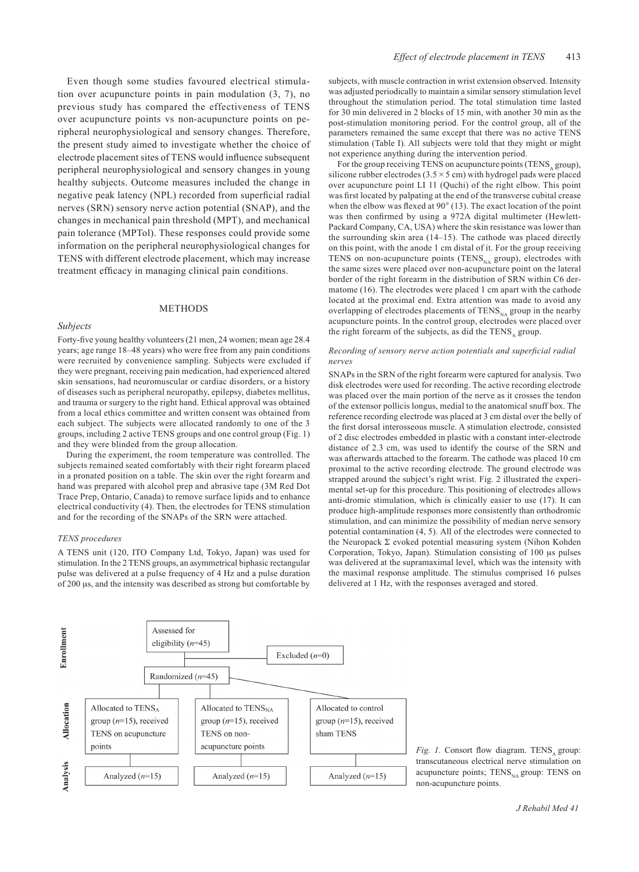Even though some studies favoured electrical stimulation over acupuncture points in pain modulation (3, 7), no previous study has compared the effectiveness of TENS over acupuncture points vs non-acupuncture points on peripheral neurophysiological and sensory changes. Therefore, the present study aimed to investigate whether the choice of electrode placement sites of TENS would influence subsequent peripheral neurophysiological and sensory changes in young healthy subjects. Outcome measures included the change in negative peak latency (NPL) recorded from superficial radial nerves (SRN) sensory nerve action potential (SNAP), and the changes in mechanical pain threshold (MPT), and mechanical pain tolerance (MPTol). These responses could provide some information on the peripheral neurophysiological changes for TENS with different electrode placement, which may increase treatment efficacy in managing clinical pain conditions.

### **METHODS**

### *Subjects*

Forty-five young healthy volunteers (21 men, 24 women; mean age 28.4 years; age range 18–48 years) who were free from any pain conditions were recruited by convenience sampling. Subjects were excluded if they were pregnant, receiving pain medication, had experienced altered skin sensations, had neuromuscular or cardiac disorders, or a history of diseases such as peripheral neuropathy, epilepsy, diabetes mellitus, and trauma or surgery to the right hand. Ethical approval was obtained from a local ethics committee and written consent was obtained from each subject. The subjects were allocated randomly to one of the 3 groups, including 2 active TENS groups and one control group (Fig. 1) and they were blinded from the group allocation.

During the experiment, the room temperature was controlled. The subjects remained seated comfortably with their right forearm placed in a pronated position on a table. The skin over the right forearm and hand was prepared with alcohol prep and abrasive tape (3M Red Dot Trace Prep, Ontario, Canada) to remove surface lipids and to enhance electrical conductivity (4). Then, the electrodes for TENS stimulation and for the recording of the SNAPs of the SRN were attached.

#### *TENS procedures*

A TENS unit (120, ITO Company Ltd, Tokyo, Japan) was used for stimulation. In the 2 TENS groups, an asymmetrical biphasic rectangular pulse was delivered at a pulse frequency of 4 Hz and a pulse duration of 200 μs, and the intensity was described as strong but comfortable by subjects, with muscle contraction in wrist extension observed. Intensity was adjusted periodically to maintain a similar sensory stimulation level throughout the stimulation period. The total stimulation time lasted for 30 min delivered in 2 blocks of 15 min, with another 30 min as the post-stimulation monitoring period. For the control group, all of the parameters remained the same except that there was no active TENS stimulation (Table I). All subjects were told that they might or might not experience anything during the intervention period.

For the group receiving TENS on acupuncture points (TENS, group), silicone rubber electrodes ( $3.5 \times 5$  cm) with hydrogel pads were placed over acupuncture point LI 11 (Quchi) of the right elbow. This point was first located by palpating at the end of the transverse cubital crease when the elbow was flexed at 90° (13). The exact location of the point was then confirmed by using a 972A digital multimeter (Hewlett-Packard Company, CA, USA) where the skin resistance was lower than the surrounding skin area (14–15). The cathode was placed directly on this point, with the anode 1 cm distal of it. For the group receiving TENS on non-acupuncture points (TENS $_{NA}$  group), electrodes with the same sizes were placed over non-acupuncture point on the lateral border of the right forearm in the distribution of SRN within C6 dermatome (16). The electrodes were placed 1 cm apart with the cathode located at the proximal end. Extra attention was made to avoid any overlapping of electrodes placements of  $TENS_{NA}$  group in the nearby acupuncture points. In the control group, electrodes were placed over the right forearm of the subjects, as did the TENS, group.

#### *Recording of sensory nerve action potentials and superficial radial nerves*

SNAPs in the SRN of the right forearm were captured for analysis. Two disk electrodes were used for recording. The active recording electrode was placed over the main portion of the nerve as it crosses the tendon of the extensor pollicis longus, medial to the anatomical snuff box. The reference recording electrode was placed at 3 cm distal over the belly of the first dorsal interosseous muscle. A stimulation electrode, consisted of 2 disc electrodes embedded in plastic with a constant inter-electrode distance of 2.3 cm, was used to identify the course of the SRN and was afterwards attached to the forearm. The cathode was placed 10 cm proximal to the active recording electrode. The ground electrode was strapped around the subject's right wrist. Fig. 2 illustrated the experimental set-up for this procedure. This positioning of electrodes allows anti-dromic stimulation, which is clinically easier to use (17). It can produce high-amplitude responses more consistently than orthodromic stimulation, and can minimize the possibility of median nerve sensory potential contamination (4, 5). All of the electrodes were connected to the Neuropack Σ evoked potential measuring system (Nihon Kohden Corporation, Tokyo, Japan). Stimulation consisting of 100 μs pulses was delivered at the supramaximal level, which was the intensity with the maximal response amplitude. The stimulus comprised 16 pulses delivered at 1 Hz, with the responses averaged and stored.



*Fig. 1.* Consort flow diagram. TENS group: transcutaneous electrical nerve stimulation on acupuncture points;  $TENS_{NA}$  group: TENS on non-acupuncture points.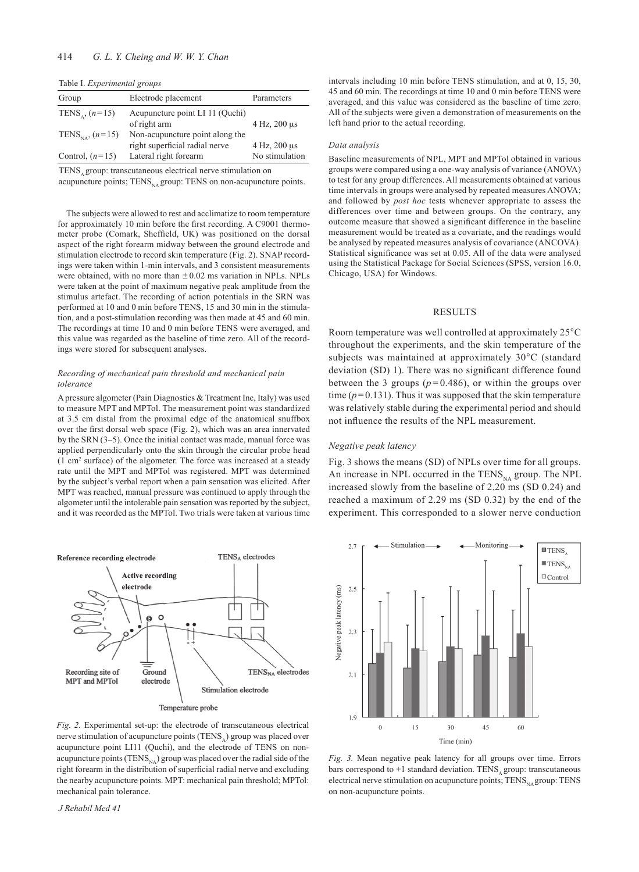Table I. *Experimental groups*

| Group                         | Electrode placement             | Parameters     |
|-------------------------------|---------------------------------|----------------|
| TENS <sub>s</sub> , $(n=15)$  | Acupuncture point LI 11 (Quchi) |                |
|                               | of right arm                    | 4 Hz, 200 us   |
| TENS <sub>NA</sub> , $(n=15)$ | Non-acupuncture point along the |                |
|                               | right superficial radial nerve  | 4 Hz, 200 us   |
| Control, $(n=15)$             | Lateral right forearm           | No stimulation |

TENS, group: transcutaneous electrical nerve stimulation on

acupuncture points;  $TENS_{NA}$  group: TENS on non-acupuncture points.

The subjects were allowed to rest and acclimatize to room temperature for approximately 10 min before the first recording. A C9001 thermometer probe (Comark, Sheffield, UK) was positioned on the dorsal aspect of the right forearm midway between the ground electrode and stimulation electrode to record skin temperature (Fig. 2). SNAP recordings were taken within 1-min intervals, and 3 consistent measurements were obtained, with no more than  $\pm 0.02$  ms variation in NPLs. NPLs were taken at the point of maximum negative peak amplitude from the stimulus artefact. The recording of action potentials in the SRN was performed at 10 and 0 min before TENS, 15 and 30 min in the stimulation, and a post-stimulation recording was then made at 45 and 60 min. The recordings at time 10 and 0 min before TENS were averaged, and this value was regarded as the baseline of time zero. All of the recordings were stored for subsequent analyses.

#### *Recording of mechanical pain threshold and mechanical pain tolerance*

A pressure algometer (Pain Diagnostics & Treatment Inc, Italy) was used to measure MPT and MPTol. The measurement point was standardized at 3.5 cm distal from the proximal edge of the anatomical snuffbox over the first dorsal web space (Fig. 2), which was an area innervated by the SRN (3–5). Once the initial contact was made, manual force was applied perpendicularly onto the skin through the circular probe head (1 cm2 surface) of the algometer. The force was increased at a steady rate until the MPT and MPTol was registered. MPT was determined by the subject's verbal report when a pain sensation was elicited. After MPT was reached, manual pressure was continued to apply through the algometer until the intolerable pain sensation was reported by the subject, and it was recorded as the MPTol. Two trials were taken at various time



*Fig. 2.* Experimental set-up: the electrode of transcutaneous electrical nerve stimulation of acupuncture points  $(TENS_A)$  group was placed over acupuncture point LI11 (Quchi), and the electrode of TENS on nonacupuncture points (TENS $_{NA}$ ) group was placed over the radial side of the right forearm in the distribution of superficial radial nerve and excluding the nearby acupuncture points. MPT: mechanical pain threshold; MPTol: mechanical pain tolerance.

*J Rehabil Med 41*

intervals including 10 min before TENS stimulation, and at 0, 15, 30, 45 and 60 min. The recordings at time 10 and 0 min before TENS were averaged, and this value was considered as the baseline of time zero. All of the subjects were given a demonstration of measurements on the left hand prior to the actual recording.

#### *Data analysis*

Baseline measurements of NPL, MPT and MPTol obtained in various groups were compared using a one-way analysis of variance (ANOVA) to test for any group differences. All measurements obtained at various time intervals in groups were analysed by repeated measures ANOVA; and followed by *post hoc* tests whenever appropriate to assess the differences over time and between groups. On the contrary, any outcome measure that showed a significant difference in the baseline measurement would be treated as a covariate, and the readings would be analysed by repeated measures analysis of covariance (ANCOVA). Statistical significance was set at 0.05. All of the data were analysed using the Statistical Package for Social Sciences (SPSS, version 16.0, Chicago, USA) for Windows.

### RESULTS

Room temperature was well controlled at approximately 25°C throughout the experiments, and the skin temperature of the subjects was maintained at approximately 30°C (standard deviation (SD) 1). There was no significant difference found between the 3 groups  $(p=0.486)$ , or within the groups over time  $(p=0.131)$ . Thus it was supposed that the skin temperature was relatively stable during the experimental period and should not influence the results of the NPL measurement.

#### *Negative peak latency*

Fig. 3 shows the means (SD) of NPLs over time for all groups. An increase in NPL occurred in the  $TENS_{NA}$  group. The NPL increased slowly from the baseline of 2.20 ms (SD 0.24) and reached a maximum of 2.29 ms (SD 0.32) by the end of the experiment. This corresponded to a slower nerve conduction



*Fig. 3.* Mean negative peak latency for all groups over time. Errors bars correspond to  $+1$  standard deviation. TENS group: transcutaneous electrical nerve stimulation on acupuncture points;  $TENS_{N_A}$  group:  $TENS$ on non-acupuncture points.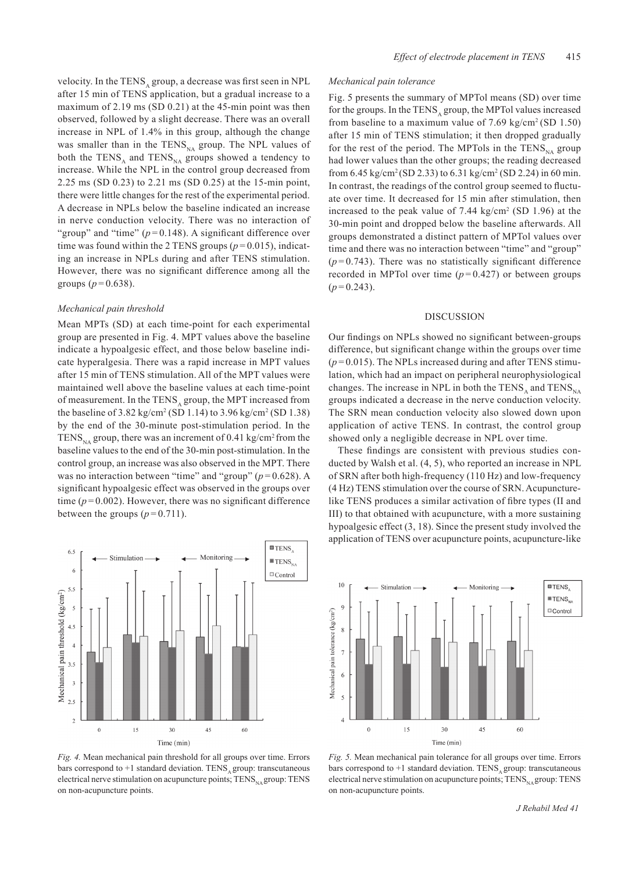velocity. In the TENS, group, a decrease was first seen in NPL after 15 min of TENS application, but a gradual increase to a maximum of 2.19 ms (SD 0.21) at the 45-min point was then observed, followed by a slight decrease. There was an overall increase in NPL of 1.4% in this group, although the change was smaller than in the  $TENS_{NA}$  group. The NPL values of both the TENS<sub>A</sub> and TENS<sub>NA</sub> groups showed a tendency to increase. While the NPL in the control group decreased from 2.25 ms (SD 0.23) to 2.21 ms (SD 0.25) at the 15-min point, there were little changes for the rest of the experimental period. A decrease in NPLs below the baseline indicated an increase in nerve conduction velocity. There was no interaction of "group" and "time"  $(p=0.148)$ . A significant difference over time was found within the 2 TENS groups  $(p=0.015)$ , indicating an increase in NPLs during and after TENS stimulation. However, there was no significant difference among all the groups  $(p=0.638)$ .

### *Mechanical pain threshold*

Mean MPTs (SD) at each time-point for each experimental group are presented in Fig. 4. MPT values above the baseline indicate a hypoalgesic effect, and those below baseline indicate hyperalgesia. There was a rapid increase in MPT values after 15 min of TENS stimulation. All of the MPT values were maintained well above the baseline values at each time-point of measurement. In the TENS<sub>A</sub> group, the MPT increased from the baseline of  $3.82 \text{ kg/cm}^2 \text{ (SD 1.14)}$  to  $3.96 \text{ kg/cm}^2 \text{ (SD 1.38)}$ by the end of the 30-minute post-stimulation period. In the TENS<sub>NA</sub> group, there was an increment of 0.41 kg/cm<sup>2</sup> from the baseline values to the end of the 30-min post-stimulation. In the control group, an increase was also observed in the MPT. There was no interaction between "time" and "group" ( $p = 0.628$ ). A significant hypoalgesic effect was observed in the groups over time  $(p=0.002)$ . However, there was no significant difference between the groups  $(p=0.711)$ .



*Fig. 4.* Mean mechanical pain threshold for all groups over time. Errors bars correspond to  $+1$  standard deviation. TENS agroup: transcutaneous electrical nerve stimulation on acupuncture points;  $TENS_{NA}$  group:  $TENS$ on non-acupuncture points.

## *Mechanical pain tolerance*

Fig. 5 presents the summary of MPTol means (SD) over time for the groups. In the TENS<sub>A</sub> group, the MPTol values increased from baseline to a maximum value of  $7.69 \text{ kg/cm}^2 \text{(SD 1.50)}$ after 15 min of TENS stimulation; it then dropped gradually for the rest of the period. The MPTols in the  $TENS_{NA}$  group had lower values than the other groups; the reading decreased from 6.45 kg/cm<sup>2</sup>(SD 2.33) to 6.31 kg/cm<sup>2</sup> (SD 2.24) in 60 min. In contrast, the readings of the control group seemed to fluctuate over time. It decreased for 15 min after stimulation, then increased to the peak value of  $7.44 \text{ kg/cm}^2$  (SD 1.96) at the 30-min point and dropped below the baseline afterwards. All groups demonstrated a distinct pattern of MPTol values over time and there was no interaction between "time" and "group"  $(p=0.743)$ . There was no statistically significant difference recorded in MPTol over time  $(p=0.427)$  or between groups  $(p=0.243)$ .

#### DISCUSSION

Our findings on NPLs showed no significant between-groups difference, but significant change within the groups over time  $(p=0.015)$ . The NPLs increased during and after TENS stimulation, which had an impact on peripheral neurophysiological changes. The increase in NPL in both the TENS<sub>NA</sub> and TENS<sub>NA</sub> groups indicated a decrease in the nerve conduction velocity. The SRN mean conduction velocity also slowed down upon application of active TENS. In contrast, the control group showed only a negligible decrease in NPL over time.

These findings are consistent with previous studies conducted by Walsh et al. (4, 5), who reported an increase in NPL of SRN after both high-frequency (110 Hz) and low-frequency (4 Hz) TENS stimulation over the course of SRN. Acupuncturelike TENS produces a similar activation of fibre types (II and III) to that obtained with acupuncture, with a more sustaining hypoalgesic effect (3, 18). Since the present study involved the application of TENS over acupuncture points, acupuncture-like



*Fig. 5.* Mean mechanical pain tolerance for all groups over time. Errors bars correspond to  $+1$  standard deviation. TENS, group: transcutaneous electrical nerve stimulation on acupuncture points;  $TENS_{NA}$  group: TENS on non-acupuncture points.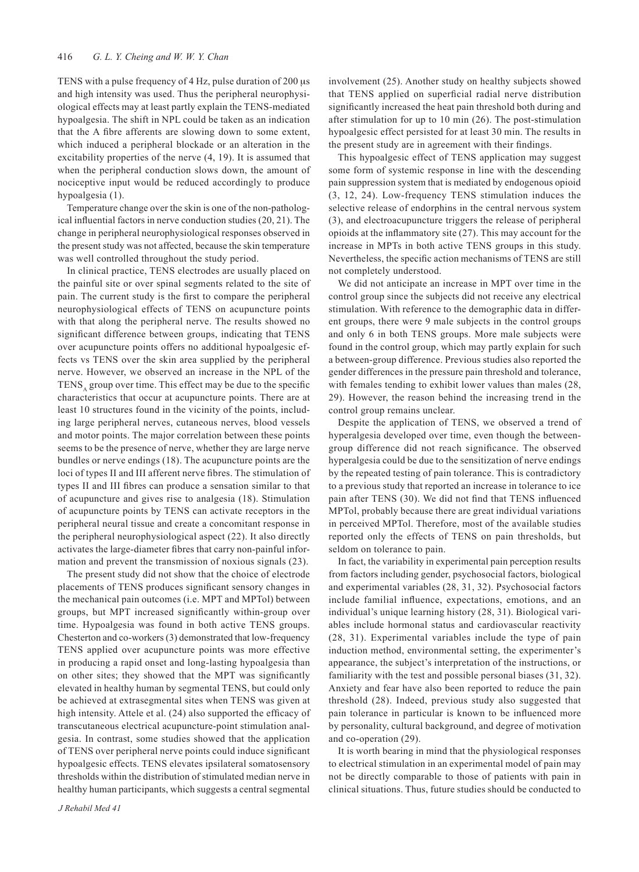TENS with a pulse frequency of 4 Hz, pulse duration of 200 μs and high intensity was used. Thus the peripheral neurophysiological effects may at least partly explain the TENS-mediated hypoalgesia. The shift in NPL could be taken as an indication that the A fibre afferents are slowing down to some extent, which induced a peripheral blockade or an alteration in the excitability properties of the nerve (4, 19). It is assumed that when the peripheral conduction slows down, the amount of nociceptive input would be reduced accordingly to produce hypoalgesia (1).

Temperature change over the skin is one of the non-pathological influential factors in nerve conduction studies (20, 21). The change in peripheral neurophysiological responses observed in the present study was not affected, because the skin temperature was well controlled throughout the study period.

In clinical practice, TENS electrodes are usually placed on the painful site or over spinal segments related to the site of pain. The current study is the first to compare the peripheral neurophysiological effects of TENS on acupuncture points with that along the peripheral nerve. The results showed no significant difference between groups, indicating that TENS over acupuncture points offers no additional hypoalgesic effects vs TENS over the skin area supplied by the peripheral nerve. However, we observed an increase in the NPL of the TENS, group over time. This effect may be due to the specific characteristics that occur at acupuncture points. There are at least 10 structures found in the vicinity of the points, including large peripheral nerves, cutaneous nerves, blood vessels and motor points. The major correlation between these points seems to be the presence of nerve, whether they are large nerve bundles or nerve endings (18). The acupuncture points are the loci of types II and III afferent nerve fibres. The stimulation of types II and III fibres can produce a sensation similar to that of acupuncture and gives rise to analgesia (18). Stimulation of acupuncture points by TENS can activate receptors in the peripheral neural tissue and create a concomitant response in the peripheral neurophysiological aspect (22). It also directly activates the large-diameter fibres that carry non-painful information and prevent the transmission of noxious signals (23).

The present study did not show that the choice of electrode placements of TENS produces significant sensory changes in the mechanical pain outcomes (i.e. MPT and MPTol) between groups, but MPT increased significantly within-group over time. Hypoalgesia was found in both active TENS groups. Chesterton and co-workers (3) demonstrated that low-frequency TENS applied over acupuncture points was more effective in producing a rapid onset and long-lasting hypoalgesia than on other sites; they showed that the MPT was significantly elevated in healthy human by segmental TENS, but could only be achieved at extrasegmental sites when TENS was given at high intensity. Attele et al. (24) also supported the efficacy of transcutaneous electrical acupuncture-point stimulation analgesia. In contrast, some studies showed that the application of TENS over peripheral nerve points could induce significant hypoalgesic effects. TENS elevates ipsilateral somatosensory thresholds within the distribution of stimulated median nerve in healthy human participants, which suggests a central segmental involvement (25). Another study on healthy subjects showed that TENS applied on superficial radial nerve distribution significantly increased the heat pain threshold both during and after stimulation for up to 10 min (26). The post-stimulation hypoalgesic effect persisted for at least 30 min. The results in the present study are in agreement with their findings.

This hypoalgesic effect of TENS application may suggest some form of systemic response in line with the descending pain suppression system that is mediated by endogenous opioid (3, 12, 24). Low-frequency TENS stimulation induces the selective release of endorphins in the central nervous system (3), and electroacupuncture triggers the release of peripheral opioids at the inflammatory site (27). This may account for the increase in MPTs in both active TENS groups in this study. Nevertheless, the specific action mechanisms of TENS are still not completely understood.

We did not anticipate an increase in MPT over time in the control group since the subjects did not receive any electrical stimulation. With reference to the demographic data in different groups, there were 9 male subjects in the control groups and only 6 in both TENS groups. More male subjects were found in the control group, which may partly explain for such a between-group difference. Previous studies also reported the gender differences in the pressure pain threshold and tolerance, with females tending to exhibit lower values than males (28, 29). However, the reason behind the increasing trend in the control group remains unclear.

Despite the application of TENS, we observed a trend of hyperalgesia developed over time, even though the betweengroup difference did not reach significance. The observed hyperalgesia could be due to the sensitization of nerve endings by the repeated testing of pain tolerance. This is contradictory to a previous study that reported an increase in tolerance to ice pain after TENS (30). We did not find that TENS influenced MPTol, probably because there are great individual variations in perceived MPTol. Therefore, most of the available studies reported only the effects of TENS on pain thresholds, but seldom on tolerance to pain.

In fact, the variability in experimental pain perception results from factors including gender, psychosocial factors, biological and experimental variables (28, 31, 32). Psychosocial factors include familial influence, expectations, emotions, and an individual's unique learning history (28, 31). Biological variables include hormonal status and cardiovascular reactivity (28, 31). Experimental variables include the type of pain induction method, environmental setting, the experimenter's appearance, the subject's interpretation of the instructions, or familiarity with the test and possible personal biases (31, 32). Anxiety and fear have also been reported to reduce the pain threshold (28). Indeed, previous study also suggested that pain tolerance in particular is known to be influenced more by personality, cultural background, and degree of motivation and co-operation (29).

It is worth bearing in mind that the physiological responses to electrical stimulation in an experimental model of pain may not be directly comparable to those of patients with pain in clinical situations. Thus, future studies should be conducted to